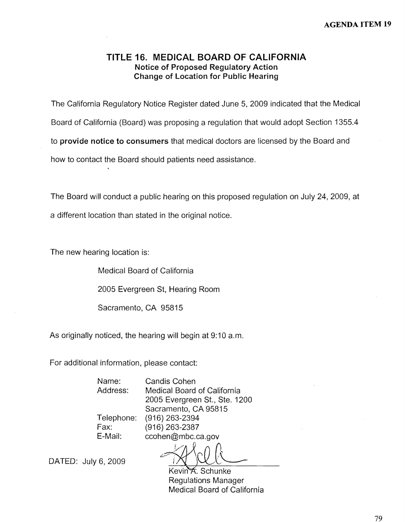### **TITLE 16. MEDICAL BOARD OF CALIFORNIA Notice of Proposed Regulatory Action Change of Location for Public Hearing**

The California Regulatory Notice Register dated June 5, 2009 indicated that the Medical Board of California (Board) was proposing a regulation that would adopt Section 1355.4 to **provide notice to consumers** that medical doctors are licensed by the Board and how to contact the Board should patients need assistance.

The Board will conduct a public hearing on this proposed regulation on July 24, 2009, at a different location than stated in the original notice.

The new hearing location is:

Medical Board of California

2005 Evergreen St, Hearing Room

Sacramento, CA 95815

As originally noticed, the hearing will begin at 9:10 a.m.

For additional information, please contact:

Name: Candis Cohen Address: Medical Board of California 2005 Evergreen St., Ste. 1200 Sacramento, CA 95815

Telephone: (916) 263-2394 Fax: (916) 263-2387 E-Mail: [ccohen@mbc.ca.gov](mailto:ccohen@mbc.ca.gov)

DATED: July 6, 2009

Kevin A. Schunke Regulations Manager Medical Board of California

79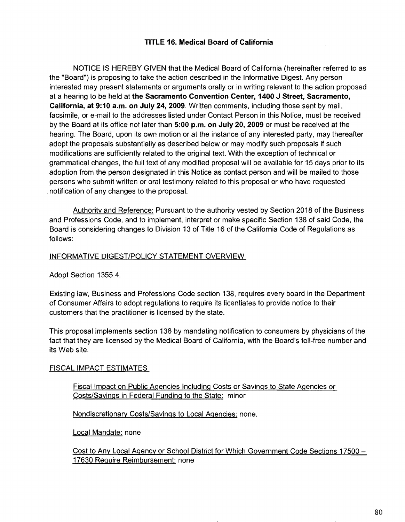#### **TITLE 16. Medical Board of California**

NOTICE IS HEREBY GIVEN that the Medical Board of California (hereinafter referred to as the "Board") is proposing to take the action described in the Informative Digest. Any person interested may present statements or arguments orally or in writing relevant to the action proposed at a hearing to be held at **the Sacramento Convention Center, 1400 J Street, Sacramento, California, at 9:10 a.m. on July 24, 2009.** Written comments, including those sent by mail, facsimile, or e-mail to the addresses listed under Contact Person in this Notice, must be received by the Board at its office not later than **5:00 p.m. on July 20, 2009** or must be received at the hearing. The Board, upon its own motion or at the instance of any interested party, may thereafter adopt the proposals substantially as described below or may modify such proposals if such modifications are sufficiently related to the original text. With the exception of technical or grammatical changes, the full text of any modified proposal will be available for 15 days prior to its adoption from the person designated in this Notice as contact person and will be mailed to those persons who submit written or oral testimony related to this proposal or who have requested notification of any changes to the proposal.

Authority and Reference: Pursuant to the authority vested by Section 2018 of the Business and Professions Code, and to implement, interpret or make specific Section 138 of said Code, the Board is considering changes to Division 13 of Title 16 of the California Code of Regulations as follows:

#### INFORMATIVE DIGEST/POLICY STATEMENT OVERVIEW

Adopt Section 1355.4.

Existing law, Business and Professions Code section 138, requires every board in the Department of Consumer Affairs to adopt regulations to require its licentiates to provide notice to their customers that the practitioner is licensed by the state.

This proposal implements section 138 by mandating notification to consumers by physicians of the fact that they are licensed by the Medical Board of California, with the Board's toll-free number and its Web site.

#### FISCAL **IMPACT** ESTIMATES

Fiscal Impact on Public Agencies Including Costs or Savings to State Agencies or Costs/Savings in Federal Funding to the State: minor

Nondiscretionary Costs/Savings to Local Agencies: none.

Local Mandate: none

Cost to Any Local Agency or School District for Which Government Code Sections 17500 - 17630 Require Reimbursement: none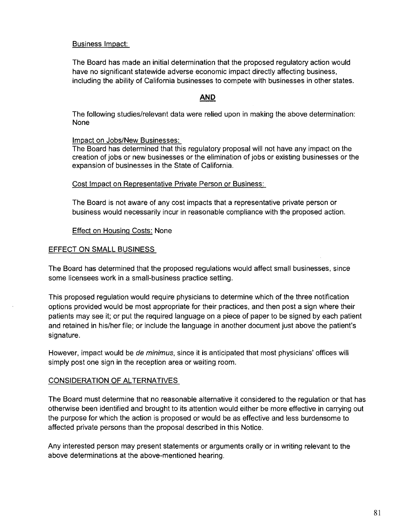#### Business Impact:

The Board has made an initial determination that the proposed regulatory action would have no significant statewide adverse economic impact directly affecting business, including the ability of California businesses to compete with businesses in other states.

#### **AND**

The following studies/relevant data were relied upon in making the above determination: None

#### Impact on Jobs/New Businesses:

The Board has determined that this regulatory proposal will not have any impact on the creation of jobs or new businesses or the elimination of jobs or existing businesses or the expansion of businesses in the State of California.

#### Cost Impact on Representative Private Person or Business:

The Board is not aware of any cost impacts that a representative private person or business would necessarily incur in reasonable compliance with the proposed action.

#### Effect on Housing Costs: None

#### EFFECT ON SMALL BUSINESS

The Board has determined that the proposed regulations would affect small businesses, since some licensees work in a small-business practice setting.

This proposed regulation would require physicians to determine which of the three notification options provided would be most appropriate for their practices, and then post a sign where their patients may see it; or put the required language on a piece of paper to be signed by each patient and retained in his/her file; or include the language in another document just above the patient's signature.

However, impact would be *de minimus*, since it is anticipated that most physicians' offices will simply post one sign in the reception area or waiting room.

#### **CONSIDERATION OF ALTERNATIVES**

The Board must determine that no reasonable alternative it considered to the regulation or that has otherwise been identified and brought to its attention would either be more effective in carrying out the purpose for which the action is proposed or would be as effective and less burdensome to affected private persons than the proposal described in this Notice.

Any interested person may present statements or arguments orally or in writing relevant to the above determinations at the above-mentioned hearing.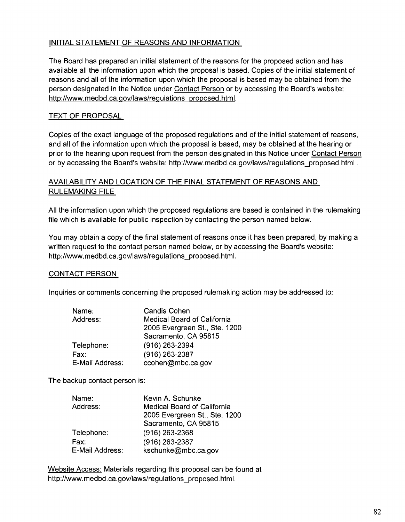#### INITIAL STATEMENT OF REASONS AND INFORMATION

The Board has prepared an initial statement of the reasons for the proposed action and has available all the information upon which the proposal is based. Copies of the initial statement of reasons and all of the information upon which the proposal is based may be obtained from the person designated in the Notice under Contact Person or by accessing the Board's website: http://www.medbd.ca.gov/laws/regulations proposed.html.

#### TEXT OF PROPOSAL

Copies of the exact language of the proposed regulations and of the initial statement of reasons, and all of the information upon which the proposal is based, may be obtained at the hearing or prior to the hearing upon request from the person designated in this Notice under Contact Person or by accessing the Board's website: [http://www.medbd.ca.gov/laws/regulations\\_proposed.htm](http://www.medbd.ca.gov/laws/regulations_proposed.html)l.

#### AVAILABILITY AND LOCATION OF THE FINAL STATEMENT OF REASONS AND **RULEMAKING** FILE

All the information upon which the proposed regulations are based is contained in the rulemaking file which is available for public inspection by contacting the person named below.

You may obtain a copy of the final statement of reasons once it has been prepared, by making a written request to the contact person named below, or by accessing the Board's website: [http://www.medbd.ca.gov/laws/regulations\\_proposed.html](http://www.medbd.ca.gov/laws/regulations_proposed.html).

#### **CONTACT PERSON**

Inquiries or comments concerning the proposed rulemaking action may be addressed to:

| Name:           | <b>Candis Cohen</b>           |
|-----------------|-------------------------------|
| Address:        | Medical Board of California   |
|                 | 2005 Evergreen St., Ste. 1200 |
|                 | Sacramento, CA 95815          |
| Telephone:      | (916) 263-2394                |
| Fax:            | (916) 263-2387                |
| E-Mail Address: | ccohen@mbc.ca.gov             |

The backup contact person is:

| Name:           | Kevin A. Schunke              |
|-----------------|-------------------------------|
| Address:        | Medical Board of California   |
|                 | 2005 Evergreen St., Ste. 1200 |
|                 | Sacramento, CA 95815          |
| Telephone:      | $(916)$ 263-2368              |
| Fax:            | (916) 263-2387                |
| E-Mail Address: | kschunke@mbc.ca.gov           |

Website Access: Materials regarding this proposal can be found at [http://www.medbd.ca.gov/laws/regulations\\_proposed.html](http://www.medbd.ca.gov/laws/regulations_proposed.html).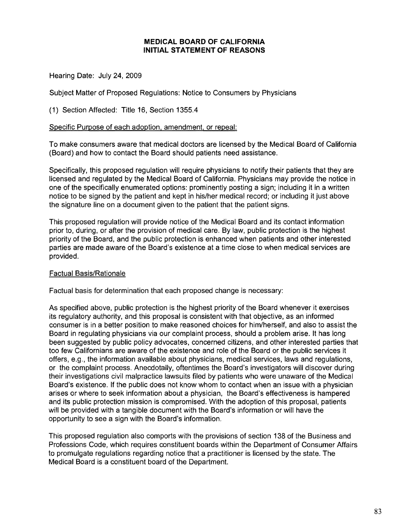#### **MEDICAL BOARD OF CALIFORNIA INITIAL STATEMENT OF REASONS**

Hearing Date: July 24, 2009

Subject Matter of Proposed Regulations: Notice to Consumers by Physicians

(1) Section Affected: Title 16, Section 1355.4

#### Specific Purpose of each adoption, amendment. or repeal:

To make consumers aware that medical doctors are licensed by the Medical Board of California (Board) and how to contact the Board should patients need assistance.

Specifically, this proposed regulation will require physicians to notify their patients that they are licensed and regulated by the Medical Board of California. Physicians may provide the notice in one of the specifically enumerated options: prominently posting a sign; including it in a written notice to be signed by the patient and kept in his/her medical record; or including it just above the signature line on a document given to the patient that the patient signs.

This proposed regulation will provide notice of the Medical Board and its contact information prior to, during, or after the provision of medical care. By law, public protection is the highest priority of the Board, and the public protection is enhanced when patients and other interested parties are made aware of the Board's existence at a time close to when medical services are provided.

#### Factual Basis/Rationale

Factual basis for determination that each proposed change is necessary:

As specified above, public protection is the highest priority of the Board whenever it exercises its regulatory authority, and this proposal is consistent with that objective, as an informed consumer is in a better position to make reasoned choices for him/herself, and also to assist the Board in regulating physicians via our complaint process, should a problem arise. It has long been suggested by public policy advocates, concerned citizens, and other interested parties that too few Californians are aware of the existence and role of the Board or the public services it offers, e.g., the information available about physicians, medical services, laws and regulations, or the complaint process. Anecdotally, oftentimes the Board's investigators will discover during their investigations civil malpractice lawsuits filed by patients who were unaware of the Medical Board's existence. If the public does not know whom to contact when an issue with a physician arises or where to seek information about a physician, the Board's effectiveness is hampered and its public protection mission is compromised. With the adoption of this proposal, patients will be provided with a tangible document with the Board's information or will have the opportunity to see a sign with the Board's information.

This proposed regulation also comports with the provisions of section 138 of the Business and Professions Code, which requires constituent boards within the Department of Consumer Affairs to promulgate regulations regarding notice that a practitioner is licensed by the state. The Medical Board is a constituent board of the Department.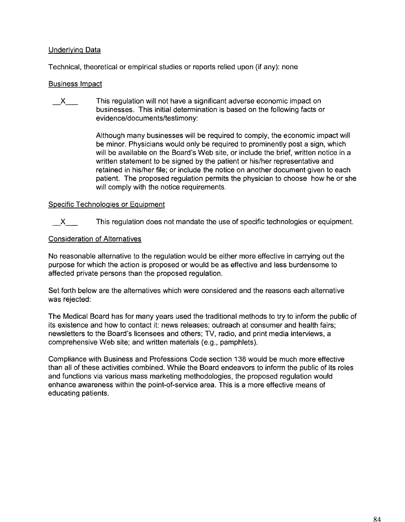#### Underlying Data

Technical, theoretical or empirical studies or reports relied upon (if any): none

#### Business Impact

 $\mathsf{X}$  This regulation will not have a significant adverse economic impact on businesses. This initial determination is based on the following facts or evidence/documents/testimony:

> Although many businesses will be required to comply, the economic impact will be minor. Physicians would only be required to prominently post a sign, which will be available on the Board's Web site, or include the brief, written notice in a written statement to be signed by the patient or his/her representative and retained in his/her file; or include the notice on another document given to each patient. The proposed regulation permits the physician to choose how he or she will comply with the notice requirements.

#### Specific Technologies or Equipment

X<sub>This regulation does not mandate the use of specific technologies or equipment.</sub>

#### Consideration of Alternatives

**No** reasonable alternative to the regulation would be either more effective in carrying out the purpose for which the action is proposed or would be as effective and less burdensome to affected private persons than the proposed regulation.

Set forth below are the alternatives which were considered and the reasons each alternative was rejected:

The Medical Board has for many years used the traditional methods to try to inform the public of its existence and how to contact it: news releases; outreach at consumer and health fairs; newsletters to the Board's licensees and others; TV, radio, and print media interviews, a comprehensive Web site; and written materials (e.g., pamphlets).

Compliance with Business and Professions Code section 138 would be much more effective than all of these activities combined. While the Board endeavors to inform the public of its roles and functions via various mass marketing methodologies, the proposed regulation would enhance awareness within the point-of-service area. This is a more effective means of educating patients.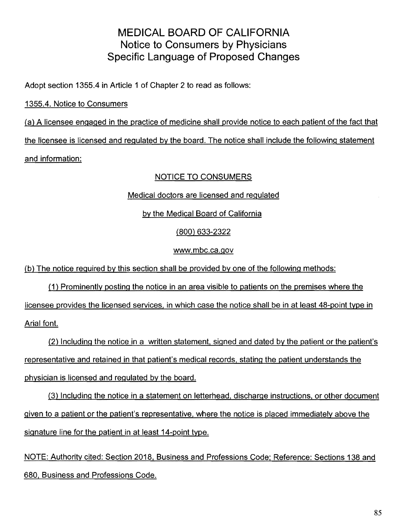# MEDICAL BOARD OF CALIFORNIA Notice to Consumers by Physicians Specific Language of Proposed Changes

Adopt section 1355.4 in Article 1 of Chapter 2 to read as follows:

# 1355.4. Notice to Consumers

(a) A licensee engaged in the practice of medicine shall provide notice to each patient of the fact that the licensee is licensed and regulated by the board. The notice shall include the following statement and information:

# NOTICE TO CONSUMERS

Medical doctors are licensed and regulated

# by the Medical Board of California

# (800) 633-2322

## [www.mbc.ca.gov](http:www.rnbc.ca.gov)

(b) The notice required by this section shall be provided by one of the following methods:

(1) Prominently posting the notice in an area visible to patients on the premises where the licensee provides the licensed services, in which case the notice shall be in at least 48-point type in Arial font.

(2) Including the notice in a written statement, signed and dated by the patient or the patient's representative and retained in that patient's medical records, stating the patient understands the physician is licensed and regulated by the board.

(3) Including the notice in a statement on letterhead, discharge instructions, or other document given to a patient or the patient's representative, where the notice is placed immediately above the signature line for the patient in at least 14-point type.

NOTE: Authority cited: Section 2018, Business and Professions Code: Reference: Sections 138 and 680, Business and Professions Code.